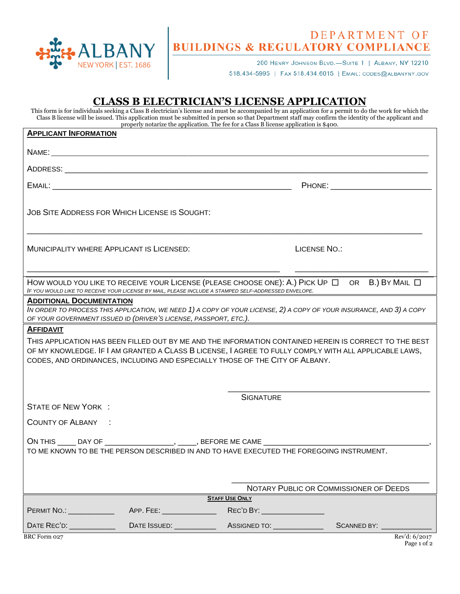

## DEPARTMENT OF<br>BUILDINGS & REGULATORY COMPLIANCE

200 HENRY JOHNSON BLVD.-SUITE 1 | ALBANY, NY 12210 518.434-5995 | FAX 518.434.6015 | EMAIL: CODES@ALBANYNY.GOV

## **CLASS B ELECTRICIAN'S LICENSE APPLICATION**

This form is for individuals seeking a Class B electrician's license and must be accompanied by an application for a permit to do the work for which the Class B license will be issued. This application must be submitted in person so that Department staff may confirm the identity of the applicant and properly notarize the application. The fee for a Class B license application is \$400.

| <b>APPLICANT INFORMATION</b>                                                                                                                                                                                                                                                                                        |                            |                              |                                        |  |
|---------------------------------------------------------------------------------------------------------------------------------------------------------------------------------------------------------------------------------------------------------------------------------------------------------------------|----------------------------|------------------------------|----------------------------------------|--|
|                                                                                                                                                                                                                                                                                                                     |                            |                              |                                        |  |
|                                                                                                                                                                                                                                                                                                                     |                            |                              |                                        |  |
|                                                                                                                                                                                                                                                                                                                     |                            |                              |                                        |  |
| JOB SITE ADDRESS FOR WHICH LICENSE IS SOUGHT:                                                                                                                                                                                                                                                                       |                            |                              |                                        |  |
| MUNICIPALITY WHERE APPLICANT IS LICENSED:                                                                                                                                                                                                                                                                           |                            |                              | <b>LICENSE NO.:</b>                    |  |
| HOW WOULD YOU LIKE TO RECEIVE YOUR LICENSE (PLEASE CHOOSE ONE): A.) PICK UP $\Box$ OR B.) BY MAIL $\Box$<br>IF YOU WOULD LIKE TO RECEIVE YOUR LICENSE BY MAIL, PLEASE INCLUDE A STAMPED SELF-ADDRESSED ENVELOPE.                                                                                                    |                            |                              |                                        |  |
| <b>ADDITIONAL DOCUMENTATION</b><br>IN ORDER TO PROCESS THIS APPLICATION, WE NEED 1) A COPY OF YOUR LICENSE, 2) A COPY OF YOUR INSURANCE, AND 3) A COPY<br>OF YOUR GOVERNMENT ISSUED ID (DRIVER'S LICENSE, PASSPORT, ETC.).                                                                                          |                            |                              |                                        |  |
| <b>AFFIDAVIT</b><br>THIS APPLICATION HAS BEEN FILLED OUT BY ME AND THE INFORMATION CONTAINED HEREIN IS CORRECT TO THE BEST<br>OF MY KNOWLEDGE. IF I AM GRANTED A CLASS B LICENSE, I AGREE TO FULLY COMPLY WITH ALL APPLICABLE LAWS,<br>CODES, AND ORDINANCES, INCLUDING AND ESPECIALLY THOSE OF THE CITY OF ALBANY. |                            |                              |                                        |  |
|                                                                                                                                                                                                                                                                                                                     |                            | <b>SIGNATURE</b>             |                                        |  |
| <b>STATE OF NEW YORK:</b>                                                                                                                                                                                                                                                                                           |                            |                              |                                        |  |
| COUNTY OF ALBANY :                                                                                                                                                                                                                                                                                                  |                            |                              |                                        |  |
| ON THIS _____ DAY OF ___________________, ______, BEFORE ME CAME ________________<br>TO ME KNOWN TO BE THE PERSON DESCRIBED IN AND TO HAVE EXECUTED THE FOREGOING INSTRUMENT.                                                                                                                                       |                            |                              |                                        |  |
|                                                                                                                                                                                                                                                                                                                     |                            |                              |                                        |  |
|                                                                                                                                                                                                                                                                                                                     |                            |                              | NOTARY PUBLIC OR COMMISSIONER OF DEEDS |  |
| <b>STAFF USE ONLY</b>                                                                                                                                                                                                                                                                                               |                            |                              |                                        |  |
| PERMIT NO.: \\cdot                                                                                                                                                                                                                                                                                                  | APP. FEE: ________________ | REC'D BY: __________________ |                                        |  |
| DATE REC'D: _______________                                                                                                                                                                                                                                                                                         |                            |                              | SCANNED BY: ___________                |  |
| <b>BRC</b> Form 027                                                                                                                                                                                                                                                                                                 |                            |                              | Rev'd: 6/2017                          |  |